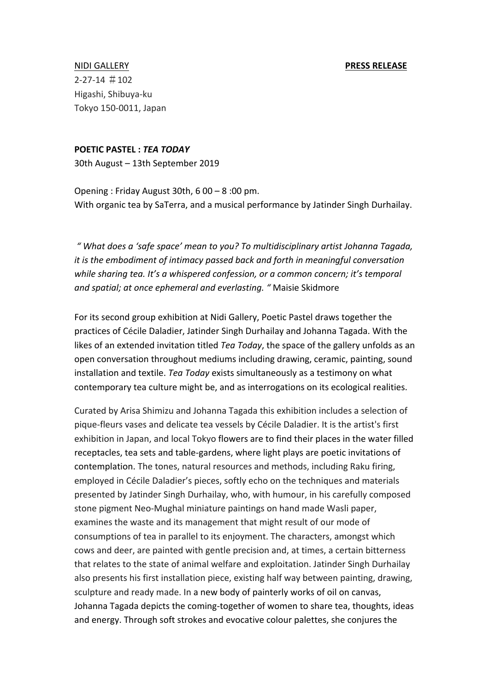NIDI GALLERY **And Aller Contract Contract Contract Contract Contract Contract Contract Contract Contract Contract Contract Contract Contract Contract Contract Contract Contract Contract Contract Contract Contract Contract**  $2 - 27 - 14 \# 102$ Higashi, Shibuya-ku Tokyo 150-0011, Japan

## **POETIC PASTEL :** *TEA TODAY*

30th August - 13th September 2019

Opening : Friday August  $30th$ ,  $600 - 8$  :00 pm. With organic tea by SaTerra, and a musical performance by Jatinder Singh Durhailay.

*" What does a 'safe space' mean to you? To multidisciplinary artist Johanna Tagada, it* is the embodiment of intimacy passed back and forth in meaningful conversation while sharing tea. It's a whispered confession, or a common concern; it's temporal and spatial; at once ephemeral and everlasting. " Maisie Skidmore

For its second group exhibition at Nidi Gallery, Poetic Pastel draws together the practices of Cécile Daladier, Jatinder Singh Durhailay and Johanna Tagada. With the likes of an extended invitation titled *Tea Today*, the space of the gallery unfolds as an open conversation throughout mediums including drawing, ceramic, painting, sound installation and textile. *Teg Today* exists simultaneously as a testimony on what contemporary tea culture might be, and as interrogations on its ecological realities.

Curated by Arisa Shimizu and Johanna Tagada this exhibition includes a selection of pique-fleurs vases and delicate tea vessels by Cécile Daladier. It is the artist's first exhibition in Japan, and local Tokyo flowers are to find their places in the water filled receptacles, tea sets and table-gardens, where light plays are poetic invitations of contemplation. The tones, natural resources and methods, including Raku firing, employed in Cécile Daladier's pieces, softly echo on the techniques and materials presented by Jatinder Singh Durhailay, who, with humour, in his carefully composed stone pigment Neo-Mughal miniature paintings on hand made Wasli paper, examines the waste and its management that might result of our mode of consumptions of tea in parallel to its enjoyment. The characters, amongst which cows and deer, are painted with gentle precision and, at times, a certain bitterness that relates to the state of animal welfare and exploitation. Jatinder Singh Durhailay also presents his first installation piece, existing half way between painting, drawing, sculpture and ready made. In a new body of painterly works of oil on canvas, Johanna Tagada depicts the coming-together of women to share tea, thoughts, ideas and energy. Through soft strokes and evocative colour palettes, she conjures the